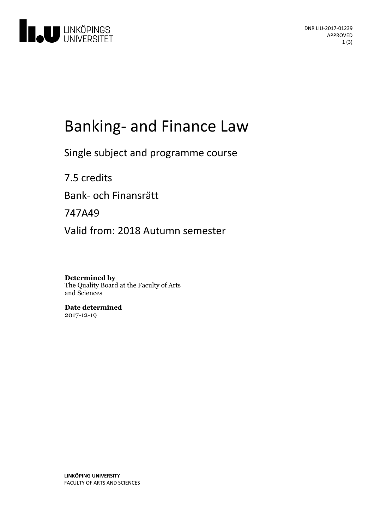

# Banking- and Finance Law

Single subject and programme course

7.5 credits Bank- och Finansrätt 747A49 Valid from: 2018 Autumn semester

**Determined by** The Quality Board at the Faculty of Arts and Sciences

**Date determined** 2017-12-19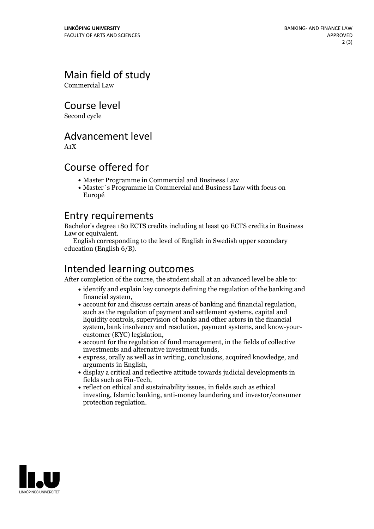# Main field of study

Commercial Law

Course level

Second cycle

#### Advancement level

A1X

#### Course offered for

- Master Programme in Commercial and Business Law
- Master´s Programme in Commercial and Business Law with focus on Europé

#### Entry requirements

Bachelor's degree 180 ECTS credits including at least 90 ECTS credits in Business

English corresponding to the level of English in Swedish upper secondary education (English 6/B).

# Intended learning outcomes

After completion of the course, the student shall at an advanced level be able to:

- identify and explain key concepts defining the regulation of the banking and
- financial system, account for and discuss certain areas of banking and financial regulation, such asthe regulation of payment and settlement systems, capital and liquidity controls, supervision of banks and other actors in the financial system, bank insolvency and resolution, payment systems, and know-your- customer (KYC) legislation,
- account for the regulation of fund management, in the fields of collective
- $\bullet$  express, orally as well as in writing, conclusions, acquired knowledge, and arguments in English,<br>• display a critical and reflective attitude towards judicial developments in
- fields such as Fin-Tech,  $\bullet$  reflect on ethical and sustainability issues, in fields such as ethical
- investing, Islamic banking, anti-money laundering and investor/consumer protection regulation.